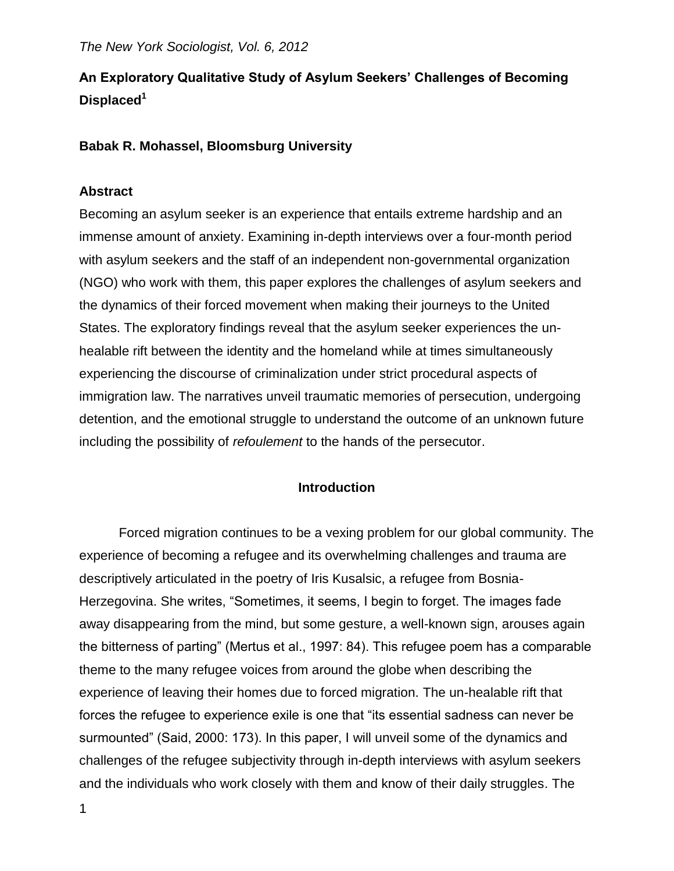# **An Exploratory Qualitative Study of Asylum Seekers' Challenges of Becoming Displaced<sup>1</sup>**

### **Babak R. Mohassel, Bloomsburg University**

#### **Abstract**

Becoming an asylum seeker is an experience that entails extreme hardship and an immense amount of anxiety. Examining in-depth interviews over a four-month period with asylum seekers and the staff of an independent non-governmental organization (NGO) who work with them, this paper explores the challenges of asylum seekers and the dynamics of their forced movement when making their journeys to the United States. The exploratory findings reveal that the asylum seeker experiences the unhealable rift between the identity and the homeland while at times simultaneously experiencing the discourse of criminalization under strict procedural aspects of immigration law. The narratives unveil traumatic memories of persecution, undergoing detention, and the emotional struggle to understand the outcome of an unknown future including the possibility of *refoulement* to the hands of the persecutor.

#### **Introduction**

Forced migration continues to be a vexing problem for our global community. The experience of becoming a refugee and its overwhelming challenges and trauma are descriptively articulated in the poetry of Iris Kusalsic, a refugee from Bosnia-Herzegovina. She writes, "Sometimes, it seems, I begin to forget. The images fade away disappearing from the mind, but some gesture, a well-known sign, arouses again the bitterness of parting" (Mertus et al., 1997: 84). This refugee poem has a comparable theme to the many refugee voices from around the globe when describing the experience of leaving their homes due to forced migration. The un-healable rift that forces the refugee to experience exile is one that "its essential sadness can never be surmounted" (Said, 2000: 173). In this paper, I will unveil some of the dynamics and challenges of the refugee subjectivity through in-depth interviews with asylum seekers and the individuals who work closely with them and know of their daily struggles. The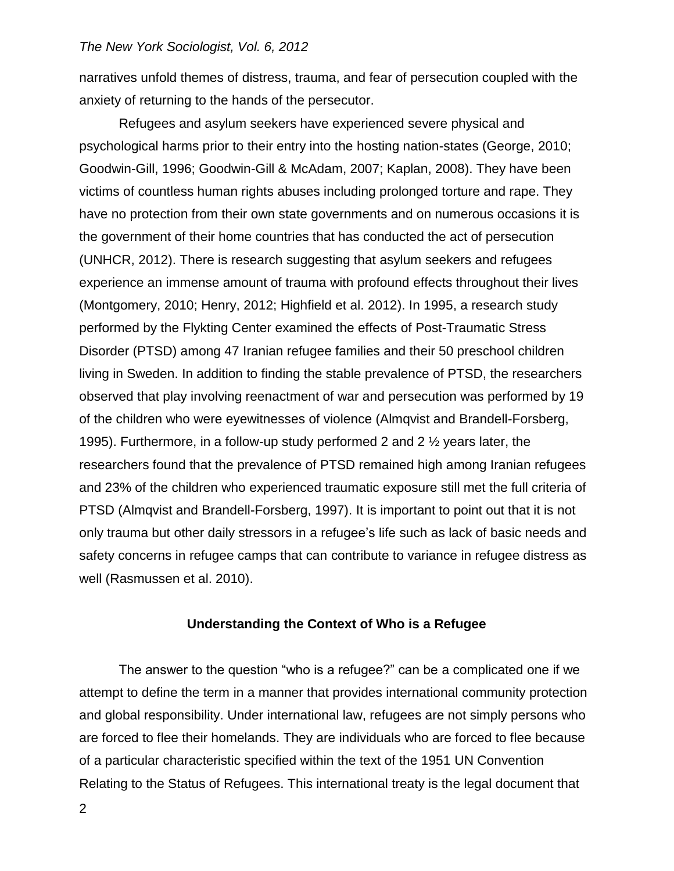narratives unfold themes of distress, trauma, and fear of persecution coupled with the anxiety of returning to the hands of the persecutor.

Refugees and asylum seekers have experienced severe physical and psychological harms prior to their entry into the hosting nation-states (George, 2010; Goodwin-Gill, 1996; Goodwin-Gill & McAdam, 2007; Kaplan, 2008). They have been victims of countless human rights abuses including prolonged torture and rape. They have no protection from their own state governments and on numerous occasions it is the government of their home countries that has conducted the act of persecution (UNHCR, 2012). There is research suggesting that asylum seekers and refugees experience an immense amount of trauma with profound effects throughout their lives (Montgomery, 2010; Henry, 2012; Highfield et al. 2012). In 1995, a research study performed by the Flykting Center examined the effects of Post-Traumatic Stress Disorder (PTSD) among 47 Iranian refugee families and their 50 preschool children living in Sweden. In addition to finding the stable prevalence of PTSD, the researchers observed that play involving reenactment of war and persecution was performed by 19 of the children who were eyewitnesses of violence (Almqvist and Brandell-Forsberg, 1995). Furthermore, in a follow-up study performed 2 and 2 ½ years later, the researchers found that the prevalence of PTSD remained high among Iranian refugees and 23% of the children who experienced traumatic exposure still met the full criteria of PTSD (Almqvist and Brandell-Forsberg, 1997). It is important to point out that it is not only trauma but other daily stressors in a refugee's life such as lack of basic needs and safety concerns in refugee camps that can contribute to variance in refugee distress as well (Rasmussen et al. 2010).

#### **Understanding the Context of Who is a Refugee**

The answer to the question "who is a refugee?" can be a complicated one if we attempt to define the term in a manner that provides international community protection and global responsibility. Under international law, refugees are not simply persons who are forced to flee their homelands. They are individuals who are forced to flee because of a particular characteristic specified within the text of the 1951 UN Convention Relating to the Status of Refugees. This international treaty is the legal document that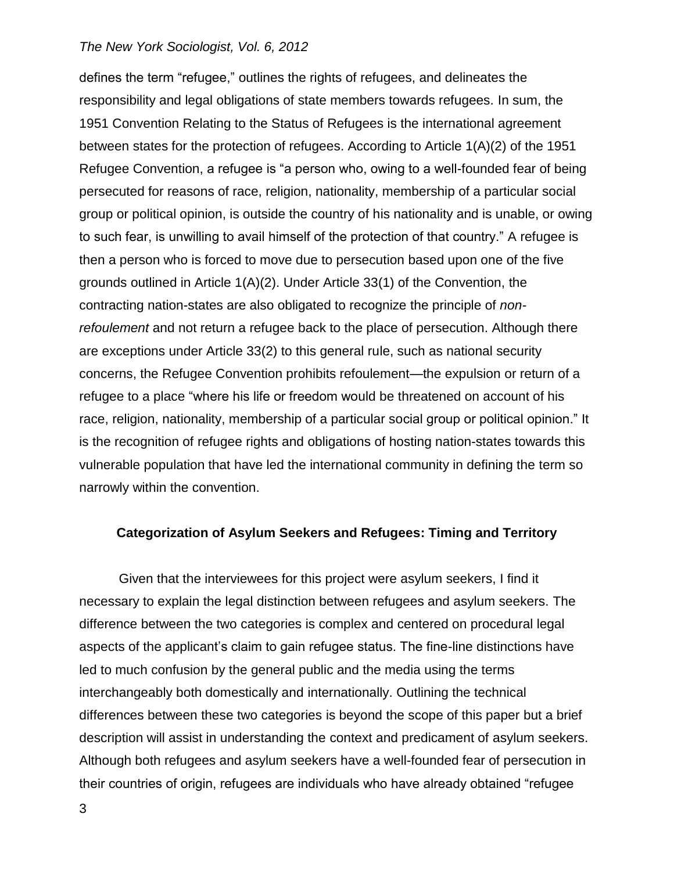defines the term "refugee," outlines the rights of refugees, and delineates the responsibility and legal obligations of state members towards refugees. In sum, the 1951 Convention Relating to the Status of Refugees is the international agreement between states for the protection of refugees. According to Article 1(A)(2) of the 1951 Refugee Convention, a refugee is "a person who, owing to a well-founded fear of being persecuted for reasons of race, religion, nationality, membership of a particular social group or political opinion, is outside the country of his nationality and is unable, or owing to such fear, is unwilling to avail himself of the protection of that country." A refugee is then a person who is forced to move due to persecution based upon one of the five grounds outlined in Article 1(A)(2). Under Article 33(1) of the Convention, the contracting nation-states are also obligated to recognize the principle of *nonrefoulement* and not return a refugee back to the place of persecution. Although there are exceptions under Article 33(2) to this general rule, such as national security concerns, the Refugee Convention prohibits refoulement—the expulsion or return of a refugee to a place "where his life or freedom would be threatened on account of his race, religion, nationality, membership of a particular social group or political opinion." It is the recognition of refugee rights and obligations of hosting nation-states towards this vulnerable population that have led the international community in defining the term so narrowly within the convention.

### **Categorization of Asylum Seekers and Refugees: Timing and Territory**

Given that the interviewees for this project were asylum seekers, I find it necessary to explain the legal distinction between refugees and asylum seekers. The difference between the two categories is complex and centered on procedural legal aspects of the applicant's claim to gain refugee status. The fine-line distinctions have led to much confusion by the general public and the media using the terms interchangeably both domestically and internationally. Outlining the technical differences between these two categories is beyond the scope of this paper but a brief description will assist in understanding the context and predicament of asylum seekers. Although both refugees and asylum seekers have a well-founded fear of persecution in their countries of origin, refugees are individuals who have already obtained "refugee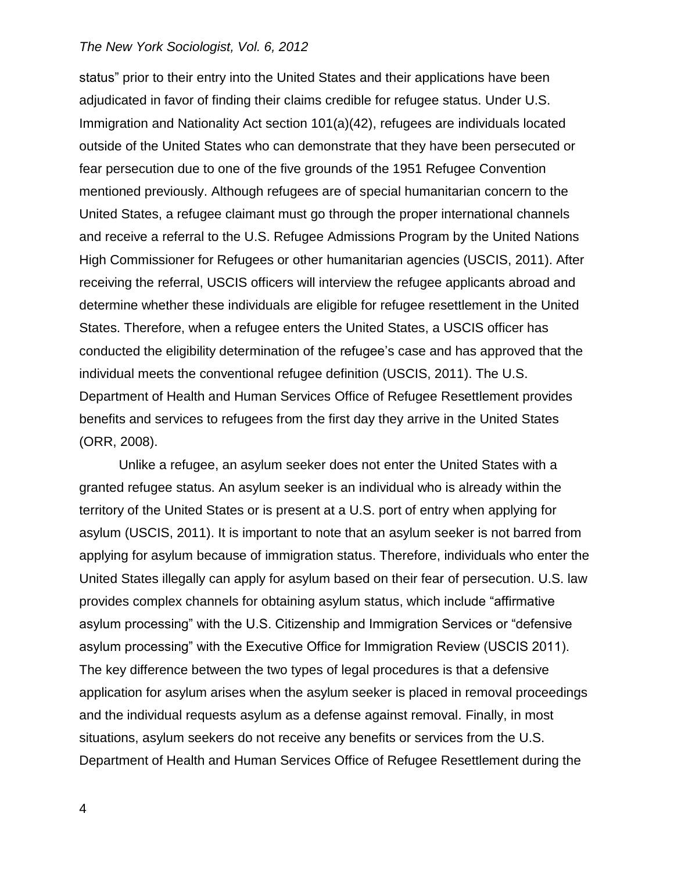status" prior to their entry into the United States and their applications have been adjudicated in favor of finding their claims credible for refugee status. Under U.S. Immigration and Nationality Act section 101(a)(42), refugees are individuals located outside of the United States who can demonstrate that they have been persecuted or fear persecution due to one of the five grounds of the 1951 Refugee Convention mentioned previously. Although refugees are of special humanitarian concern to the United States, a refugee claimant must go through the proper international channels and receive a referral to the U.S. Refugee Admissions Program by the United Nations High Commissioner for Refugees or other humanitarian agencies (USCIS, 2011). After receiving the referral, USCIS officers will interview the refugee applicants abroad and determine whether these individuals are eligible for refugee resettlement in the United States. Therefore, when a refugee enters the United States, a USCIS officer has conducted the eligibility determination of the refugee's case and has approved that the individual meets the conventional refugee definition (USCIS, 2011). The U.S. Department of Health and Human Services Office of Refugee Resettlement provides benefits and services to refugees from the first day they arrive in the United States (ORR, 2008).

Unlike a refugee, an asylum seeker does not enter the United States with a granted refugee status. An asylum seeker is an individual who is already within the territory of the United States or is present at a U.S. port of entry when applying for asylum (USCIS, 2011). It is important to note that an asylum seeker is not barred from applying for asylum because of immigration status. Therefore, individuals who enter the United States illegally can apply for asylum based on their fear of persecution. U.S. law provides complex channels for obtaining asylum status, which include "affirmative asylum processing" with the U.S. Citizenship and Immigration Services or "defensive asylum processing" with the Executive Office for Immigration Review (USCIS 2011). The key difference between the two types of legal procedures is that a defensive application for asylum arises when the asylum seeker is placed in removal proceedings and the individual requests asylum as a defense against removal. Finally, in most situations, asylum seekers do not receive any benefits or services from the U.S. Department of Health and Human Services Office of Refugee Resettlement during the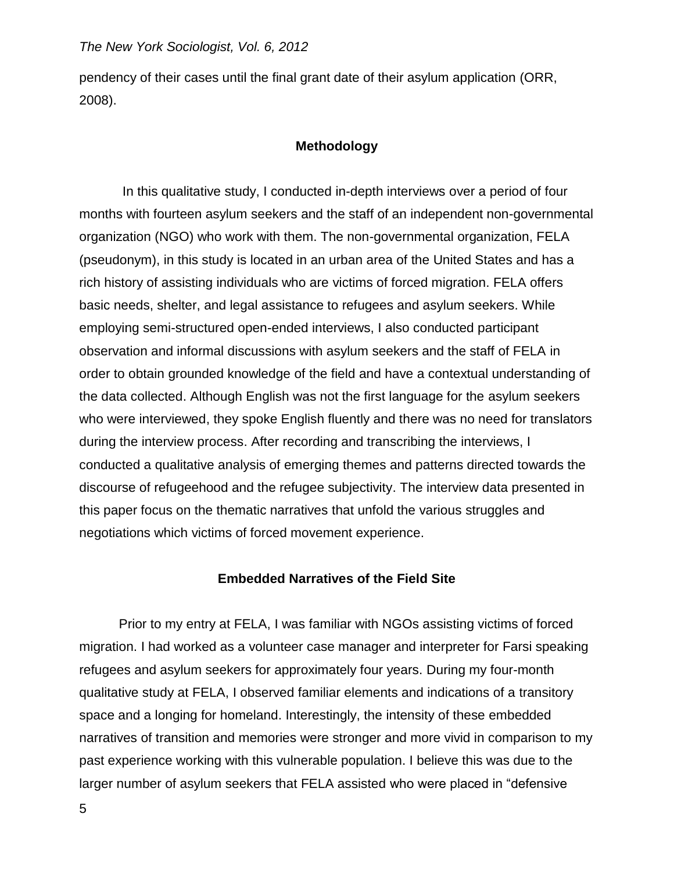pendency of their cases until the final grant date of their asylum application (ORR, 2008).

### **Methodology**

In this qualitative study, I conducted in-depth interviews over a period of four months with fourteen asylum seekers and the staff of an independent non-governmental organization (NGO) who work with them. The non-governmental organization, FELA (pseudonym), in this study is located in an urban area of the United States and has a rich history of assisting individuals who are victims of forced migration. FELA offers basic needs, shelter, and legal assistance to refugees and asylum seekers. While employing semi-structured open-ended interviews, I also conducted participant observation and informal discussions with asylum seekers and the staff of FELA in order to obtain grounded knowledge of the field and have a contextual understanding of the data collected. Although English was not the first language for the asylum seekers who were interviewed, they spoke English fluently and there was no need for translators during the interview process. After recording and transcribing the interviews, I conducted a qualitative analysis of emerging themes and patterns directed towards the discourse of refugeehood and the refugee subjectivity. The interview data presented in this paper focus on the thematic narratives that unfold the various struggles and negotiations which victims of forced movement experience.

#### **Embedded Narratives of the Field Site**

Prior to my entry at FELA, I was familiar with NGOs assisting victims of forced migration. I had worked as a volunteer case manager and interpreter for Farsi speaking refugees and asylum seekers for approximately four years. During my four-month qualitative study at FELA, I observed familiar elements and indications of a transitory space and a longing for homeland. Interestingly, the intensity of these embedded narratives of transition and memories were stronger and more vivid in comparison to my past experience working with this vulnerable population. I believe this was due to the larger number of asylum seekers that FELA assisted who were placed in "defensive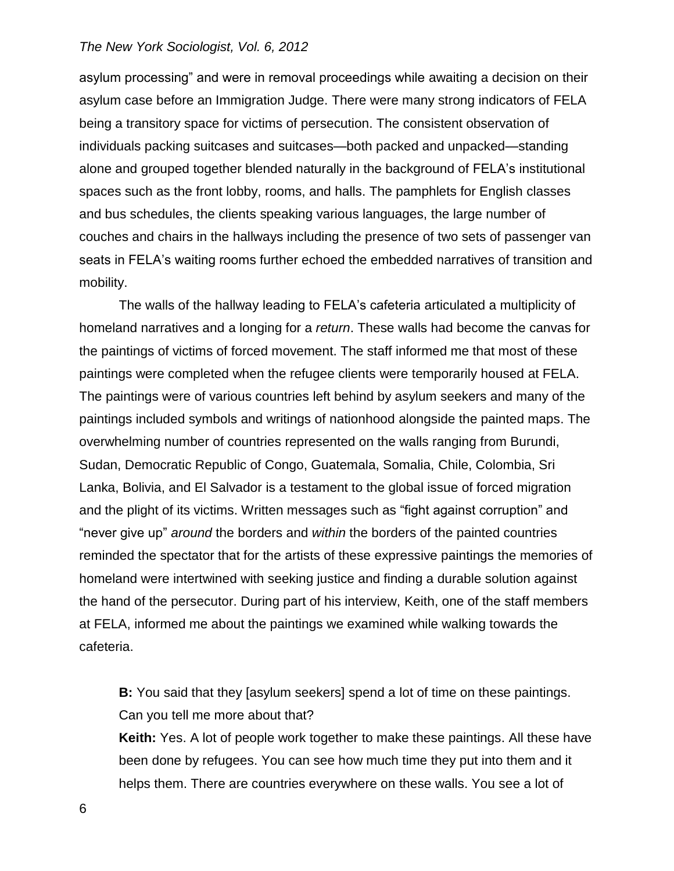asylum processing" and were in removal proceedings while awaiting a decision on their asylum case before an Immigration Judge. There were many strong indicators of FELA being a transitory space for victims of persecution. The consistent observation of individuals packing suitcases and suitcases—both packed and unpacked—standing alone and grouped together blended naturally in the background of FELA's institutional spaces such as the front lobby, rooms, and halls. The pamphlets for English classes and bus schedules, the clients speaking various languages, the large number of couches and chairs in the hallways including the presence of two sets of passenger van seats in FELA's waiting rooms further echoed the embedded narratives of transition and mobility.

The walls of the hallway leading to FELA's cafeteria articulated a multiplicity of homeland narratives and a longing for a *return*. These walls had become the canvas for the paintings of victims of forced movement. The staff informed me that most of these paintings were completed when the refugee clients were temporarily housed at FELA. The paintings were of various countries left behind by asylum seekers and many of the paintings included symbols and writings of nationhood alongside the painted maps. The overwhelming number of countries represented on the walls ranging from Burundi, Sudan, Democratic Republic of Congo, Guatemala, Somalia, Chile, Colombia, Sri Lanka, Bolivia, and El Salvador is a testament to the global issue of forced migration and the plight of its victims. Written messages such as "fight against corruption" and "never give up" *around* the borders and *within* the borders of the painted countries reminded the spectator that for the artists of these expressive paintings the memories of homeland were intertwined with seeking justice and finding a durable solution against the hand of the persecutor. During part of his interview, Keith, one of the staff members at FELA, informed me about the paintings we examined while walking towards the cafeteria.

**B:** You said that they [asylum seekers] spend a lot of time on these paintings. Can you tell me more about that?

**Keith:** Yes. A lot of people work together to make these paintings. All these have been done by refugees. You can see how much time they put into them and it helps them. There are countries everywhere on these walls. You see a lot of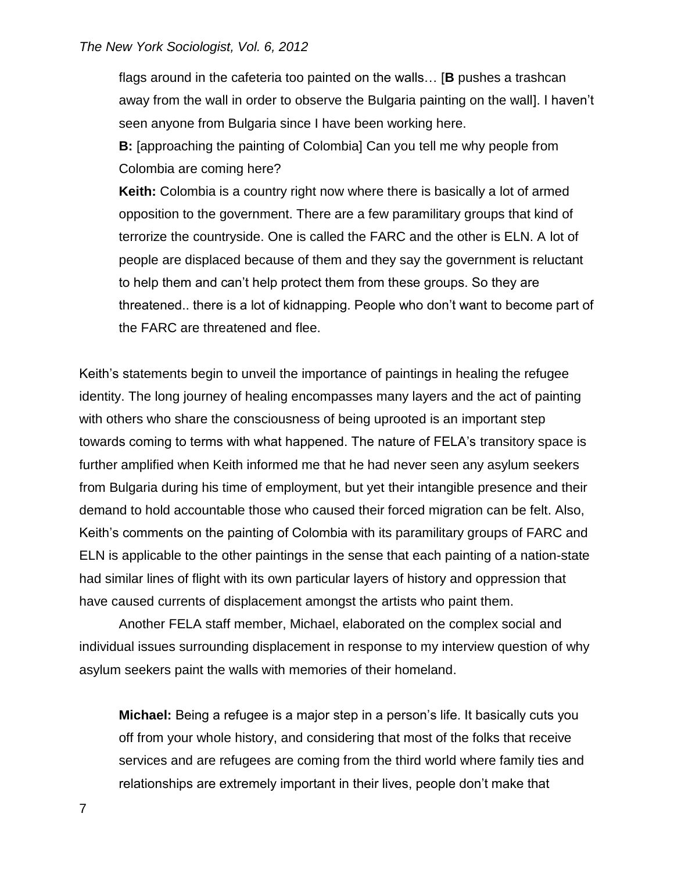flags around in the cafeteria too painted on the walls… [**B** pushes a trashcan away from the wall in order to observe the Bulgaria painting on the wall]. I haven't seen anyone from Bulgaria since I have been working here.

**B:** [approaching the painting of Colombia] Can you tell me why people from Colombia are coming here?

**Keith:** Colombia is a country right now where there is basically a lot of armed opposition to the government. There are a few paramilitary groups that kind of terrorize the countryside. One is called the FARC and the other is ELN. A lot of people are displaced because of them and they say the government is reluctant to help them and can't help protect them from these groups. So they are threatened.. there is a lot of kidnapping. People who don't want to become part of the FARC are threatened and flee.

Keith's statements begin to unveil the importance of paintings in healing the refugee identity. The long journey of healing encompasses many layers and the act of painting with others who share the consciousness of being uprooted is an important step towards coming to terms with what happened. The nature of FELA's transitory space is further amplified when Keith informed me that he had never seen any asylum seekers from Bulgaria during his time of employment, but yet their intangible presence and their demand to hold accountable those who caused their forced migration can be felt. Also, Keith's comments on the painting of Colombia with its paramilitary groups of FARC and ELN is applicable to the other paintings in the sense that each painting of a nation-state had similar lines of flight with its own particular layers of history and oppression that have caused currents of displacement amongst the artists who paint them.

Another FELA staff member, Michael, elaborated on the complex social and individual issues surrounding displacement in response to my interview question of why asylum seekers paint the walls with memories of their homeland.

**Michael:** Being a refugee is a major step in a person's life. It basically cuts you off from your whole history, and considering that most of the folks that receive services and are refugees are coming from the third world where family ties and relationships are extremely important in their lives, people don't make that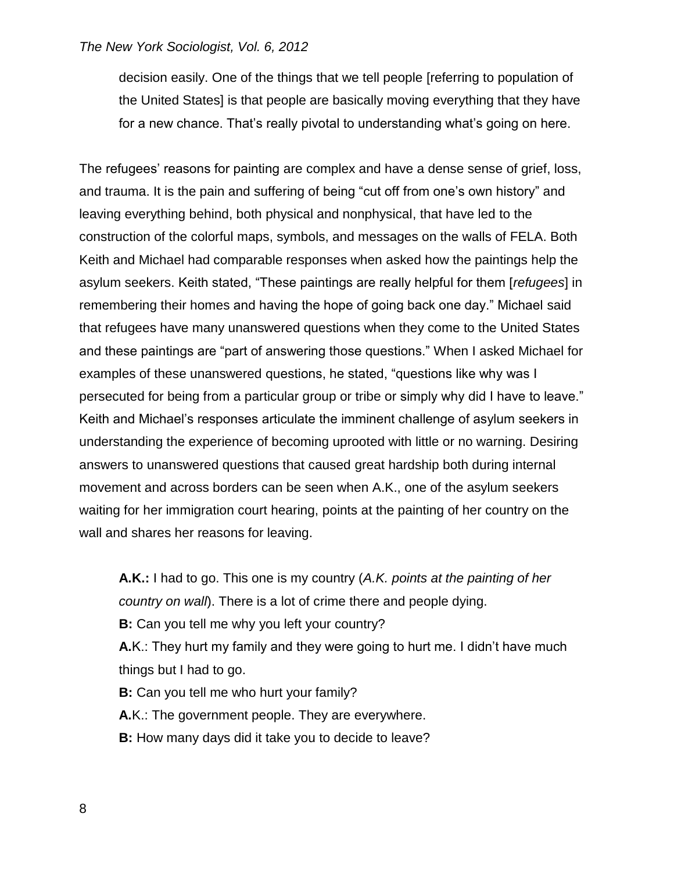decision easily. One of the things that we tell people [referring to population of the United States] is that people are basically moving everything that they have for a new chance. That's really pivotal to understanding what's going on here.

The refugees' reasons for painting are complex and have a dense sense of grief, loss, and trauma. It is the pain and suffering of being "cut off from one's own history" and leaving everything behind, both physical and nonphysical, that have led to the construction of the colorful maps, symbols, and messages on the walls of FELA. Both Keith and Michael had comparable responses when asked how the paintings help the asylum seekers. Keith stated, "These paintings are really helpful for them [*refugees*] in remembering their homes and having the hope of going back one day." Michael said that refugees have many unanswered questions when they come to the United States and these paintings are "part of answering those questions." When I asked Michael for examples of these unanswered questions, he stated, "questions like why was I persecuted for being from a particular group or tribe or simply why did I have to leave." Keith and Michael's responses articulate the imminent challenge of asylum seekers in understanding the experience of becoming uprooted with little or no warning. Desiring answers to unanswered questions that caused great hardship both during internal movement and across borders can be seen when A.K., one of the asylum seekers waiting for her immigration court hearing, points at the painting of her country on the wall and shares her reasons for leaving.

**A.K.:** I had to go. This one is my country (*A.K. points at the painting of her country on wall*). There is a lot of crime there and people dying. **B:** Can you tell me why you left your country?

**A.**K.: They hurt my family and they were going to hurt me. I didn't have much things but I had to go.

**B:** Can you tell me who hurt your family? **A.**K.: The government people. They are everywhere. **B:** How many days did it take you to decide to leave?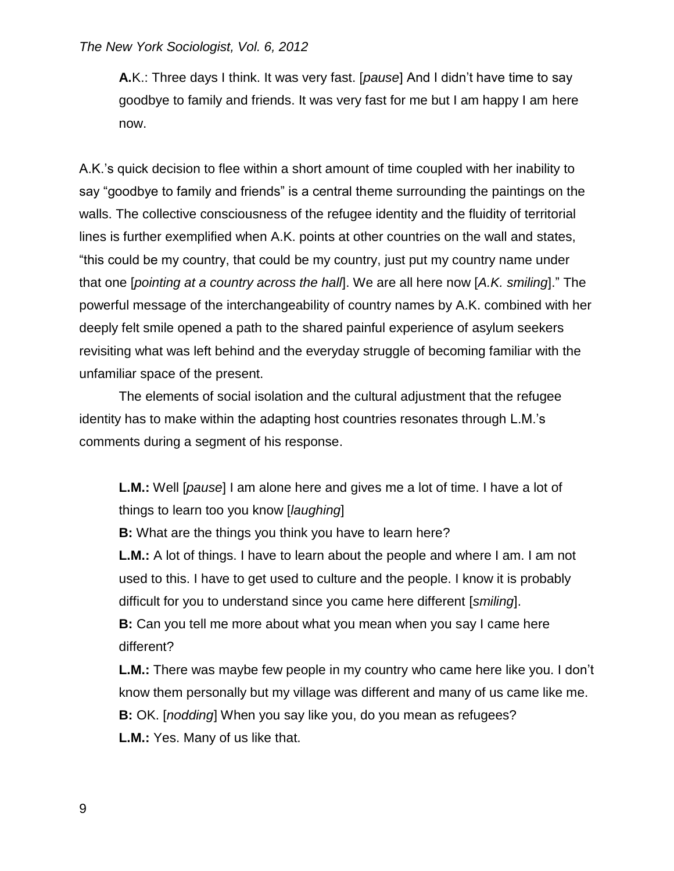**A.**K.: Three days I think. It was very fast. [*pause*] And I didn't have time to say goodbye to family and friends. It was very fast for me but I am happy I am here now.

A.K.'s quick decision to flee within a short amount of time coupled with her inability to say "goodbye to family and friends" is a central theme surrounding the paintings on the walls. The collective consciousness of the refugee identity and the fluidity of territorial lines is further exemplified when A.K. points at other countries on the wall and states, "this could be my country, that could be my country, just put my country name under that one [*pointing at a country across the hall*]. We are all here now [*A.K. smiling*]." The powerful message of the interchangeability of country names by A.K. combined with her deeply felt smile opened a path to the shared painful experience of asylum seekers revisiting what was left behind and the everyday struggle of becoming familiar with the unfamiliar space of the present.

The elements of social isolation and the cultural adjustment that the refugee identity has to make within the adapting host countries resonates through L.M.'s comments during a segment of his response.

**L.M.:** Well [*pause*] I am alone here and gives me a lot of time. I have a lot of things to learn too you know [*laughing*]

**B:** What are the things you think you have to learn here?

**L.M.:** A lot of things. I have to learn about the people and where I am. I am not used to this. I have to get used to culture and the people. I know it is probably difficult for you to understand since you came here different [*smiling*].

**B:** Can you tell me more about what you mean when you say I came here different?

**L.M.:** There was maybe few people in my country who came here like you. I don't know them personally but my village was different and many of us came like me. **B:** OK. [*nodding*] When you say like you, do you mean as refugees? **L.M.:** Yes. Many of us like that.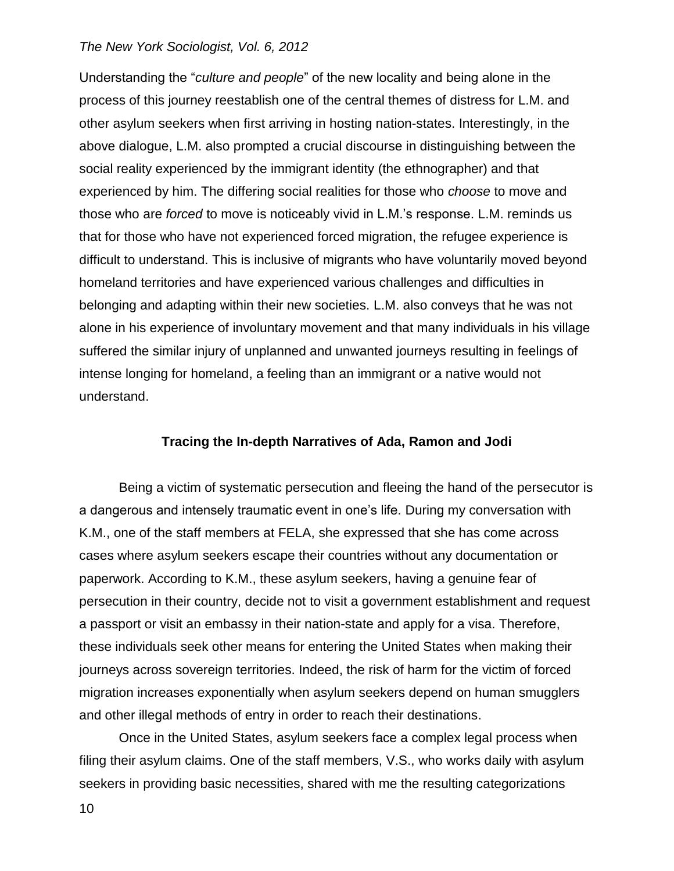Understanding the "*culture and people*" of the new locality and being alone in the process of this journey reestablish one of the central themes of distress for L.M. and other asylum seekers when first arriving in hosting nation-states. Interestingly, in the above dialogue, L.M. also prompted a crucial discourse in distinguishing between the social reality experienced by the immigrant identity (the ethnographer) and that experienced by him. The differing social realities for those who *choose* to move and those who are *forced* to move is noticeably vivid in L.M.'s response. L.M. reminds us that for those who have not experienced forced migration, the refugee experience is difficult to understand. This is inclusive of migrants who have voluntarily moved beyond homeland territories and have experienced various challenges and difficulties in belonging and adapting within their new societies. L.M. also conveys that he was not alone in his experience of involuntary movement and that many individuals in his village suffered the similar injury of unplanned and unwanted journeys resulting in feelings of intense longing for homeland, a feeling than an immigrant or a native would not understand.

## **Tracing the In-depth Narratives of Ada, Ramon and Jodi**

Being a victim of systematic persecution and fleeing the hand of the persecutor is a dangerous and intensely traumatic event in one's life. During my conversation with K.M., one of the staff members at FELA, she expressed that she has come across cases where asylum seekers escape their countries without any documentation or paperwork. According to K.M., these asylum seekers, having a genuine fear of persecution in their country, decide not to visit a government establishment and request a passport or visit an embassy in their nation-state and apply for a visa. Therefore, these individuals seek other means for entering the United States when making their journeys across sovereign territories. Indeed, the risk of harm for the victim of forced migration increases exponentially when asylum seekers depend on human smugglers and other illegal methods of entry in order to reach their destinations.

Once in the United States, asylum seekers face a complex legal process when filing their asylum claims. One of the staff members, V.S., who works daily with asylum seekers in providing basic necessities, shared with me the resulting categorizations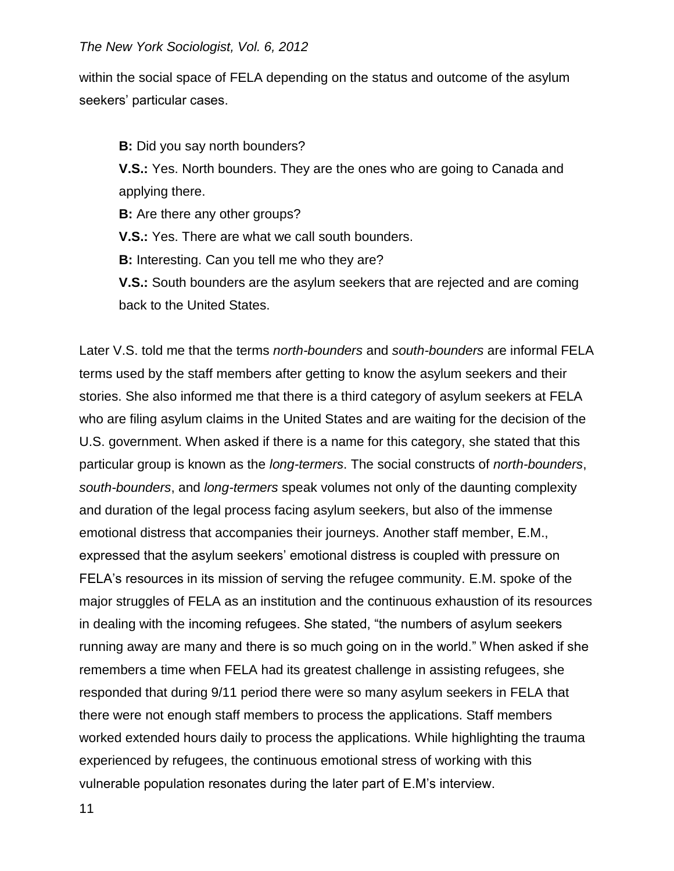within the social space of FELA depending on the status and outcome of the asylum seekers' particular cases.

**B:** Did you say north bounders?

**V.S.:** Yes. North bounders. They are the ones who are going to Canada and applying there.

**B:** Are there any other groups?

**V.S.:** Yes. There are what we call south bounders.

**B:** Interesting. Can you tell me who they are?

**V.S.:** South bounders are the asylum seekers that are rejected and are coming back to the United States.

Later V.S. told me that the terms *north-bounders* and *south-bounders* are informal FELA terms used by the staff members after getting to know the asylum seekers and their stories. She also informed me that there is a third category of asylum seekers at FELA who are filing asylum claims in the United States and are waiting for the decision of the U.S. government. When asked if there is a name for this category, she stated that this particular group is known as the *long-termers*. The social constructs of *north-bounders*, *south-bounders*, and *long-termers* speak volumes not only of the daunting complexity and duration of the legal process facing asylum seekers, but also of the immense emotional distress that accompanies their journeys. Another staff member, E.M., expressed that the asylum seekers' emotional distress is coupled with pressure on FELA's resources in its mission of serving the refugee community. E.M. spoke of the major struggles of FELA as an institution and the continuous exhaustion of its resources in dealing with the incoming refugees. She stated, "the numbers of asylum seekers running away are many and there is so much going on in the world." When asked if she remembers a time when FELA had its greatest challenge in assisting refugees, she responded that during 9/11 period there were so many asylum seekers in FELA that there were not enough staff members to process the applications. Staff members worked extended hours daily to process the applications. While highlighting the trauma experienced by refugees, the continuous emotional stress of working with this vulnerable population resonates during the later part of E.M's interview.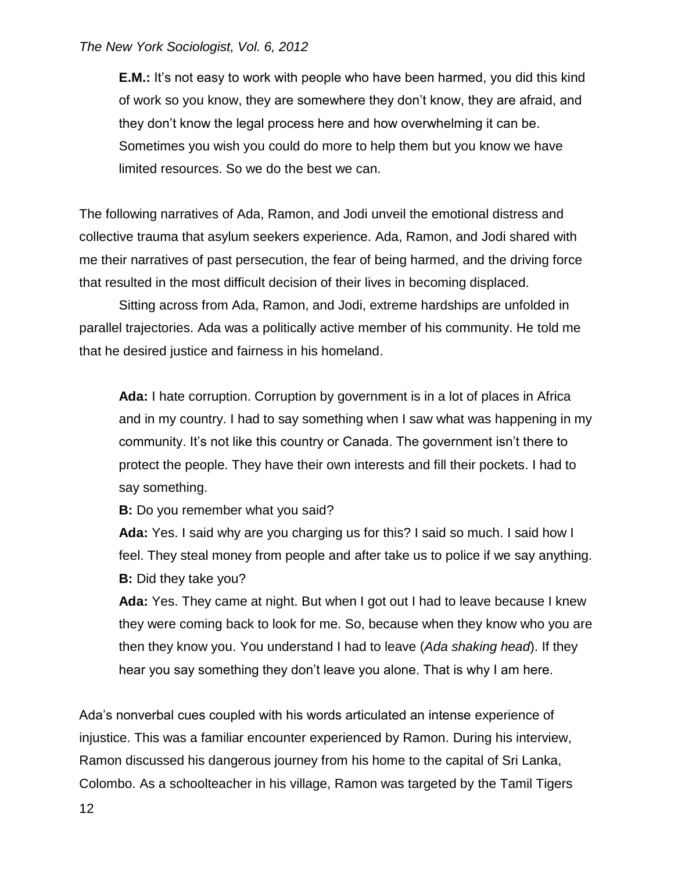**E.M.:** It's not easy to work with people who have been harmed, you did this kind of work so you know, they are somewhere they don't know, they are afraid, and they don't know the legal process here and how overwhelming it can be. Sometimes you wish you could do more to help them but you know we have limited resources. So we do the best we can.

The following narratives of Ada, Ramon, and Jodi unveil the emotional distress and collective trauma that asylum seekers experience. Ada, Ramon, and Jodi shared with me their narratives of past persecution, the fear of being harmed, and the driving force that resulted in the most difficult decision of their lives in becoming displaced.

Sitting across from Ada, Ramon, and Jodi, extreme hardships are unfolded in parallel trajectories. Ada was a politically active member of his community. He told me that he desired justice and fairness in his homeland.

**Ada:** I hate corruption. Corruption by government is in a lot of places in Africa and in my country. I had to say something when I saw what was happening in my community. It's not like this country or Canada. The government isn't there to protect the people. They have their own interests and fill their pockets. I had to say something.

**B:** Do you remember what you said?

**Ada:** Yes. I said why are you charging us for this? I said so much. I said how I feel. They steal money from people and after take us to police if we say anything. **B:** Did they take you?

**Ada:** Yes. They came at night. But when I got out I had to leave because I knew they were coming back to look for me. So, because when they know who you are then they know you. You understand I had to leave (*Ada shaking head*). If they hear you say something they don't leave you alone. That is why I am here.

Ada's nonverbal cues coupled with his words articulated an intense experience of injustice. This was a familiar encounter experienced by Ramon. During his interview, Ramon discussed his dangerous journey from his home to the capital of Sri Lanka, Colombo. As a schoolteacher in his village, Ramon was targeted by the Tamil Tigers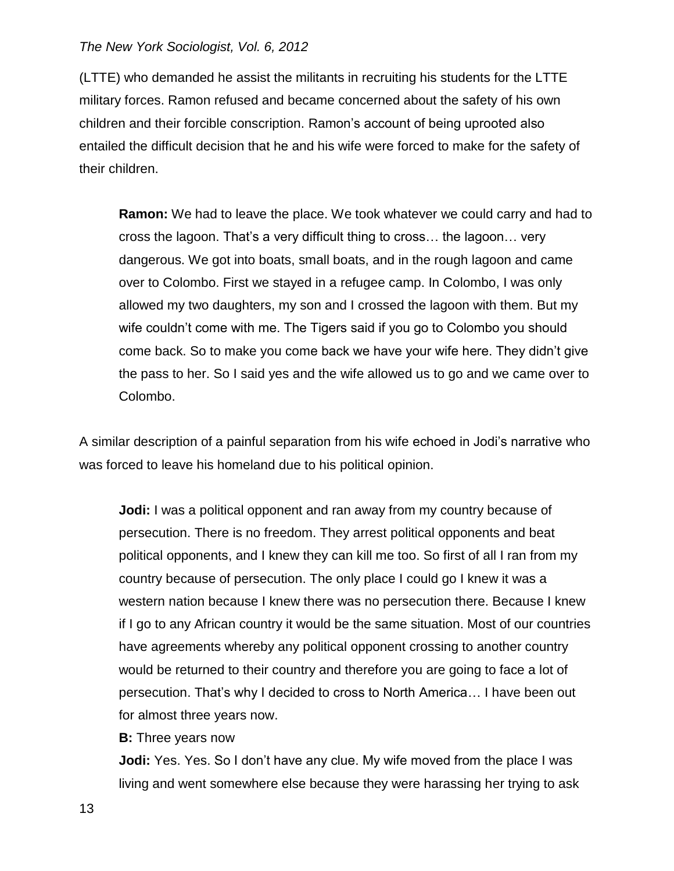(LTTE) who demanded he assist the militants in recruiting his students for the LTTE military forces. Ramon refused and became concerned about the safety of his own children and their forcible conscription. Ramon's account of being uprooted also entailed the difficult decision that he and his wife were forced to make for the safety of their children.

**Ramon:** We had to leave the place. We took whatever we could carry and had to cross the lagoon. That's a very difficult thing to cross… the lagoon… very dangerous. We got into boats, small boats, and in the rough lagoon and came over to Colombo. First we stayed in a refugee camp. In Colombo, I was only allowed my two daughters, my son and I crossed the lagoon with them. But my wife couldn't come with me. The Tigers said if you go to Colombo you should come back. So to make you come back we have your wife here. They didn't give the pass to her. So I said yes and the wife allowed us to go and we came over to Colombo.

A similar description of a painful separation from his wife echoed in Jodi's narrative who was forced to leave his homeland due to his political opinion.

**Jodi:** I was a political opponent and ran away from my country because of persecution. There is no freedom. They arrest political opponents and beat political opponents, and I knew they can kill me too. So first of all I ran from my country because of persecution. The only place I could go I knew it was a western nation because I knew there was no persecution there. Because I knew if I go to any African country it would be the same situation. Most of our countries have agreements whereby any political opponent crossing to another country would be returned to their country and therefore you are going to face a lot of persecution. That's why I decided to cross to North America… I have been out for almost three years now.

**B:** Three years now

**Jodi:** Yes. Yes. So I don't have any clue. My wife moved from the place I was living and went somewhere else because they were harassing her trying to ask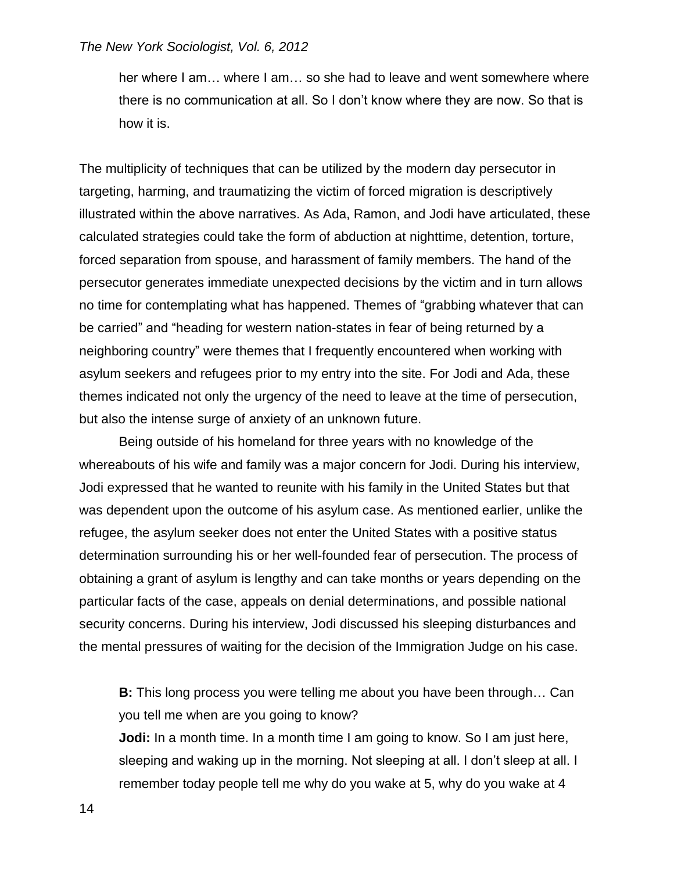her where I am… where I am… so she had to leave and went somewhere where there is no communication at all. So I don't know where they are now. So that is how it is.

The multiplicity of techniques that can be utilized by the modern day persecutor in targeting, harming, and traumatizing the victim of forced migration is descriptively illustrated within the above narratives. As Ada, Ramon, and Jodi have articulated, these calculated strategies could take the form of abduction at nighttime, detention, torture, forced separation from spouse, and harassment of family members. The hand of the persecutor generates immediate unexpected decisions by the victim and in turn allows no time for contemplating what has happened. Themes of "grabbing whatever that can be carried" and "heading for western nation-states in fear of being returned by a neighboring country" were themes that I frequently encountered when working with asylum seekers and refugees prior to my entry into the site. For Jodi and Ada, these themes indicated not only the urgency of the need to leave at the time of persecution, but also the intense surge of anxiety of an unknown future.

Being outside of his homeland for three years with no knowledge of the whereabouts of his wife and family was a major concern for Jodi. During his interview, Jodi expressed that he wanted to reunite with his family in the United States but that was dependent upon the outcome of his asylum case. As mentioned earlier, unlike the refugee, the asylum seeker does not enter the United States with a positive status determination surrounding his or her well-founded fear of persecution. The process of obtaining a grant of asylum is lengthy and can take months or years depending on the particular facts of the case, appeals on denial determinations, and possible national security concerns. During his interview, Jodi discussed his sleeping disturbances and the mental pressures of waiting for the decision of the Immigration Judge on his case.

**B:** This long process you were telling me about you have been through… Can you tell me when are you going to know? **Jodi:** In a month time. In a month time I am going to know. So I am just here,

sleeping and waking up in the morning. Not sleeping at all. I don't sleep at all. I remember today people tell me why do you wake at 5, why do you wake at 4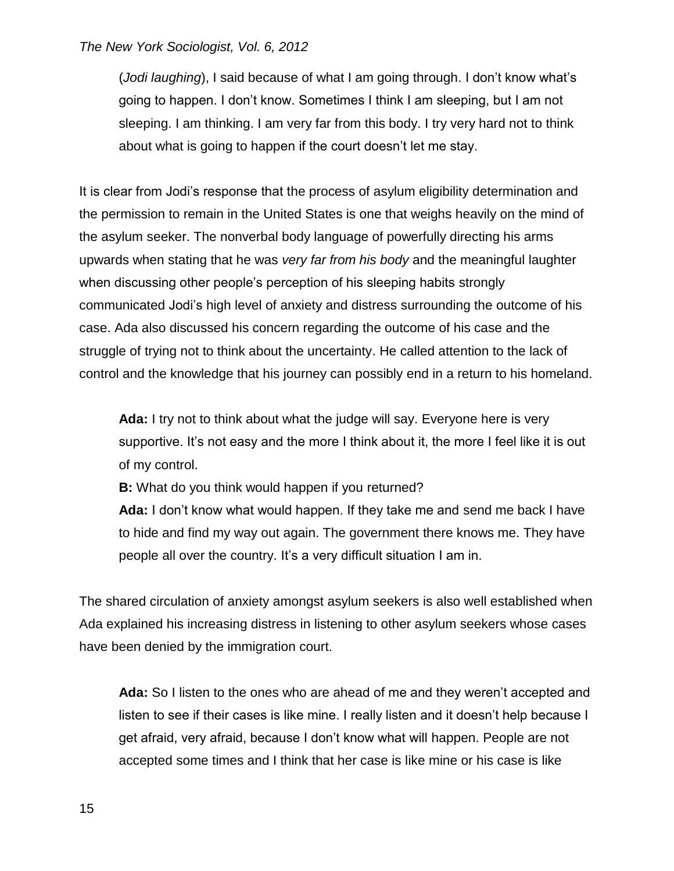(*Jodi laughing*), I said because of what I am going through. I don't know what's going to happen. I don't know. Sometimes I think I am sleeping, but I am not sleeping. I am thinking. I am very far from this body. I try very hard not to think about what is going to happen if the court doesn't let me stay.

It is clear from Jodi's response that the process of asylum eligibility determination and the permission to remain in the United States is one that weighs heavily on the mind of the asylum seeker. The nonverbal body language of powerfully directing his arms upwards when stating that he was *very far from his body* and the meaningful laughter when discussing other people's perception of his sleeping habits strongly communicated Jodi's high level of anxiety and distress surrounding the outcome of his case. Ada also discussed his concern regarding the outcome of his case and the struggle of trying not to think about the uncertainty. He called attention to the lack of control and the knowledge that his journey can possibly end in a return to his homeland.

**Ada:** I try not to think about what the judge will say. Everyone here is very supportive. It's not easy and the more I think about it, the more I feel like it is out of my control.

**B:** What do you think would happen if you returned?

**Ada:** I don't know what would happen. If they take me and send me back I have to hide and find my way out again. The government there knows me. They have people all over the country. It's a very difficult situation I am in.

The shared circulation of anxiety amongst asylum seekers is also well established when Ada explained his increasing distress in listening to other asylum seekers whose cases have been denied by the immigration court.

**Ada:** So I listen to the ones who are ahead of me and they weren't accepted and listen to see if their cases is like mine. I really listen and it doesn't help because I get afraid, very afraid, because I don't know what will happen. People are not accepted some times and I think that her case is like mine or his case is like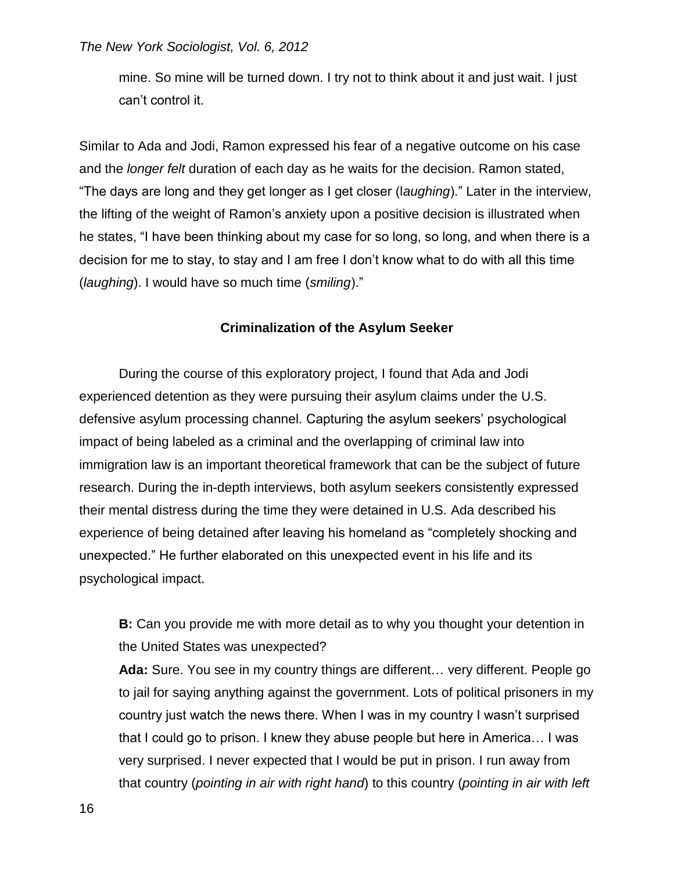mine. So mine will be turned down. I try not to think about it and just wait. I just can't control it.

Similar to Ada and Jodi, Ramon expressed his fear of a negative outcome on his case and the *longer felt* duration of each day as he waits for the decision. Ramon stated, "The days are long and they get longer as I get closer (l*aughing*)." Later in the interview, the lifting of the weight of Ramon's anxiety upon a positive decision is illustrated when he states, "I have been thinking about my case for so long, so long, and when there is a decision for me to stay, to stay and I am free I don't know what to do with all this time (*laughing*). I would have so much time (*smiling*)."

### **Criminalization of the Asylum Seeker**

During the course of this exploratory project, I found that Ada and Jodi experienced detention as they were pursuing their asylum claims under the U.S. defensive asylum processing channel. Capturing the asylum seekers' psychological impact of being labeled as a criminal and the overlapping of criminal law into immigration law is an important theoretical framework that can be the subject of future research. During the in-depth interviews, both asylum seekers consistently expressed their mental distress during the time they were detained in U.S. Ada described his experience of being detained after leaving his homeland as "completely shocking and unexpected." He further elaborated on this unexpected event in his life and its psychological impact.

**B:** Can you provide me with more detail as to why you thought your detention in the United States was unexpected?

**Ada:** Sure. You see in my country things are different… very different. People go to jail for saying anything against the government. Lots of political prisoners in my country just watch the news there. When I was in my country I wasn't surprised that I could go to prison. I knew they abuse people but here in America… I was very surprised. I never expected that I would be put in prison. I run away from that country (*pointing in air with right hand*) to this country (*pointing in air with left*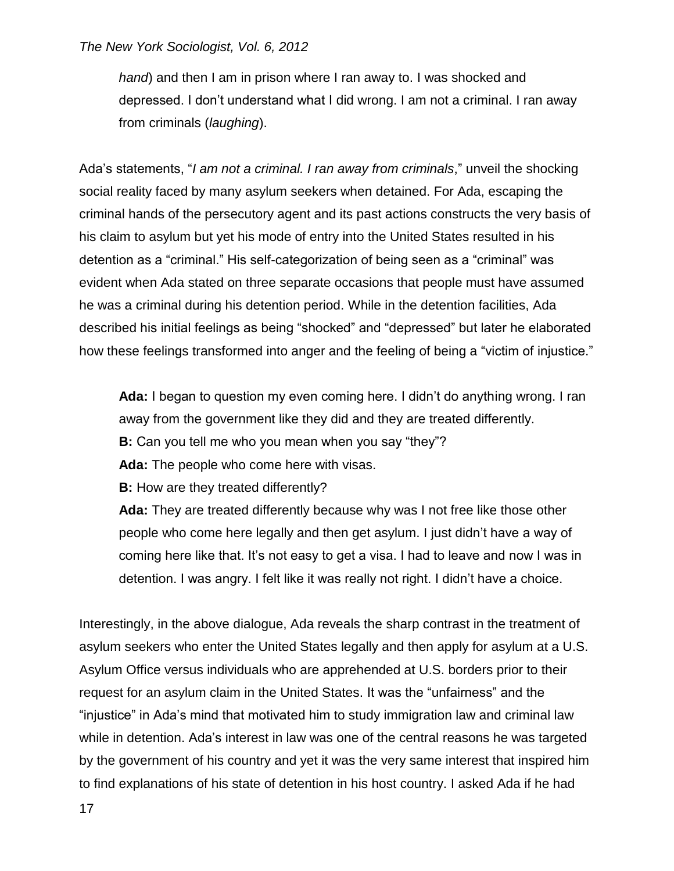*hand*) and then I am in prison where I ran away to. I was shocked and depressed. I don't understand what I did wrong. I am not a criminal. I ran away from criminals (*laughing*).

Ada's statements, "*I am not a criminal. I ran away from criminals*," unveil the shocking social reality faced by many asylum seekers when detained. For Ada, escaping the criminal hands of the persecutory agent and its past actions constructs the very basis of his claim to asylum but yet his mode of entry into the United States resulted in his detention as a "criminal." His self-categorization of being seen as a "criminal" was evident when Ada stated on three separate occasions that people must have assumed he was a criminal during his detention period. While in the detention facilities, Ada described his initial feelings as being "shocked" and "depressed" but later he elaborated how these feelings transformed into anger and the feeling of being a "victim of injustice."

**Ada:** I began to question my even coming here. I didn't do anything wrong. I ran away from the government like they did and they are treated differently. **B:** Can you tell me who you mean when you say "they"? **Ada:** The people who come here with visas.

**B:** How are they treated differently?

**Ada:** They are treated differently because why was I not free like those other people who come here legally and then get asylum. I just didn't have a way of coming here like that. It's not easy to get a visa. I had to leave and now I was in detention. I was angry. I felt like it was really not right. I didn't have a choice.

Interestingly, in the above dialogue, Ada reveals the sharp contrast in the treatment of asylum seekers who enter the United States legally and then apply for asylum at a U.S. Asylum Office versus individuals who are apprehended at U.S. borders prior to their request for an asylum claim in the United States. It was the "unfairness" and the "injustice" in Ada's mind that motivated him to study immigration law and criminal law while in detention. Ada's interest in law was one of the central reasons he was targeted by the government of his country and yet it was the very same interest that inspired him to find explanations of his state of detention in his host country. I asked Ada if he had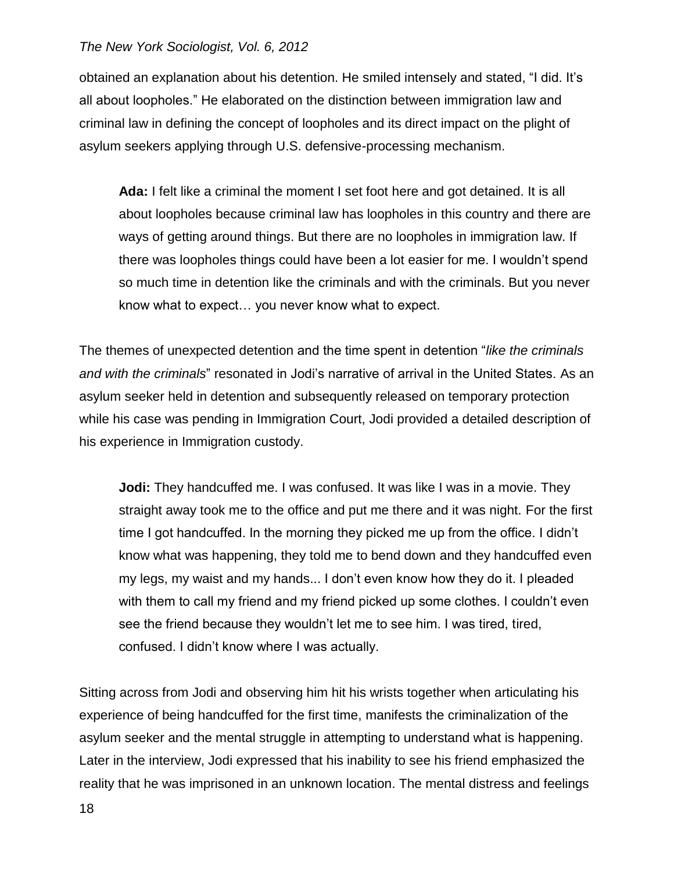obtained an explanation about his detention. He smiled intensely and stated, "I did. It's all about loopholes." He elaborated on the distinction between immigration law and criminal law in defining the concept of loopholes and its direct impact on the plight of asylum seekers applying through U.S. defensive-processing mechanism.

**Ada:** I felt like a criminal the moment I set foot here and got detained. It is all about loopholes because criminal law has loopholes in this country and there are ways of getting around things. But there are no loopholes in immigration law. If there was loopholes things could have been a lot easier for me. I wouldn't spend so much time in detention like the criminals and with the criminals. But you never know what to expect… you never know what to expect.

The themes of unexpected detention and the time spent in detention "*like the criminals and with the criminals*" resonated in Jodi's narrative of arrival in the United States. As an asylum seeker held in detention and subsequently released on temporary protection while his case was pending in Immigration Court, Jodi provided a detailed description of his experience in Immigration custody.

**Jodi:** They handcuffed me. I was confused. It was like I was in a movie. They straight away took me to the office and put me there and it was night. For the first time I got handcuffed. In the morning they picked me up from the office. I didn't know what was happening, they told me to bend down and they handcuffed even my legs, my waist and my hands... I don't even know how they do it. I pleaded with them to call my friend and my friend picked up some clothes. I couldn't even see the friend because they wouldn't let me to see him. I was tired, tired, confused. I didn't know where I was actually.

Sitting across from Jodi and observing him hit his wrists together when articulating his experience of being handcuffed for the first time, manifests the criminalization of the asylum seeker and the mental struggle in attempting to understand what is happening. Later in the interview, Jodi expressed that his inability to see his friend emphasized the reality that he was imprisoned in an unknown location. The mental distress and feelings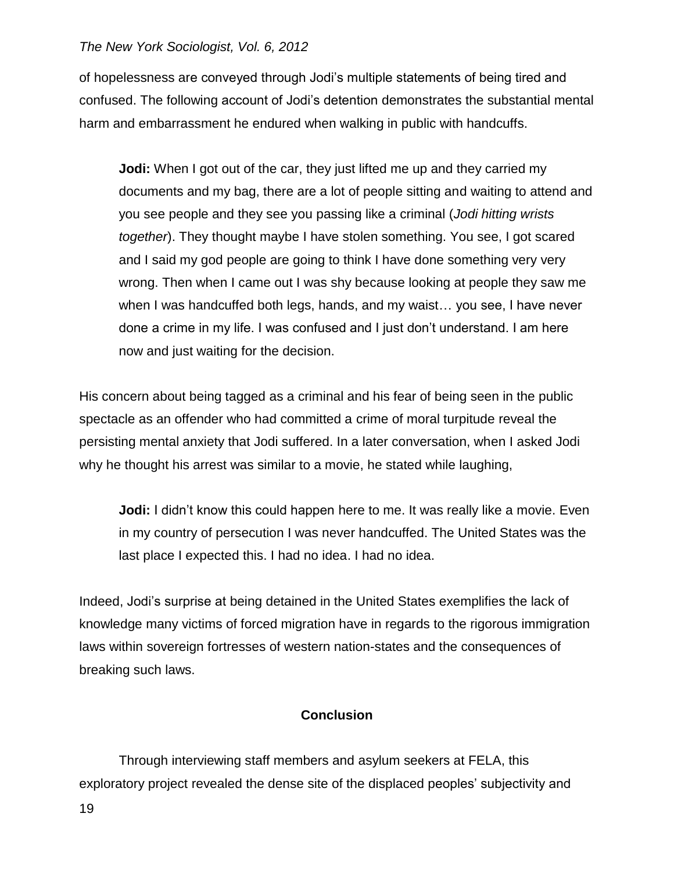of hopelessness are conveyed through Jodi's multiple statements of being tired and confused. The following account of Jodi's detention demonstrates the substantial mental harm and embarrassment he endured when walking in public with handcuffs.

**Jodi:** When I got out of the car, they just lifted me up and they carried my documents and my bag, there are a lot of people sitting and waiting to attend and you see people and they see you passing like a criminal (*Jodi hitting wrists together*). They thought maybe I have stolen something. You see, I got scared and I said my god people are going to think I have done something very very wrong. Then when I came out I was shy because looking at people they saw me when I was handcuffed both legs, hands, and my waist… you see, I have never done a crime in my life. I was confused and I just don't understand. I am here now and just waiting for the decision.

His concern about being tagged as a criminal and his fear of being seen in the public spectacle as an offender who had committed a crime of moral turpitude reveal the persisting mental anxiety that Jodi suffered. In a later conversation, when I asked Jodi why he thought his arrest was similar to a movie, he stated while laughing,

**Jodi:** I didn't know this could happen here to me. It was really like a movie. Even in my country of persecution I was never handcuffed. The United States was the last place I expected this. I had no idea. I had no idea.

Indeed, Jodi's surprise at being detained in the United States exemplifies the lack of knowledge many victims of forced migration have in regards to the rigorous immigration laws within sovereign fortresses of western nation-states and the consequences of breaking such laws.

### **Conclusion**

Through interviewing staff members and asylum seekers at FELA, this exploratory project revealed the dense site of the displaced peoples' subjectivity and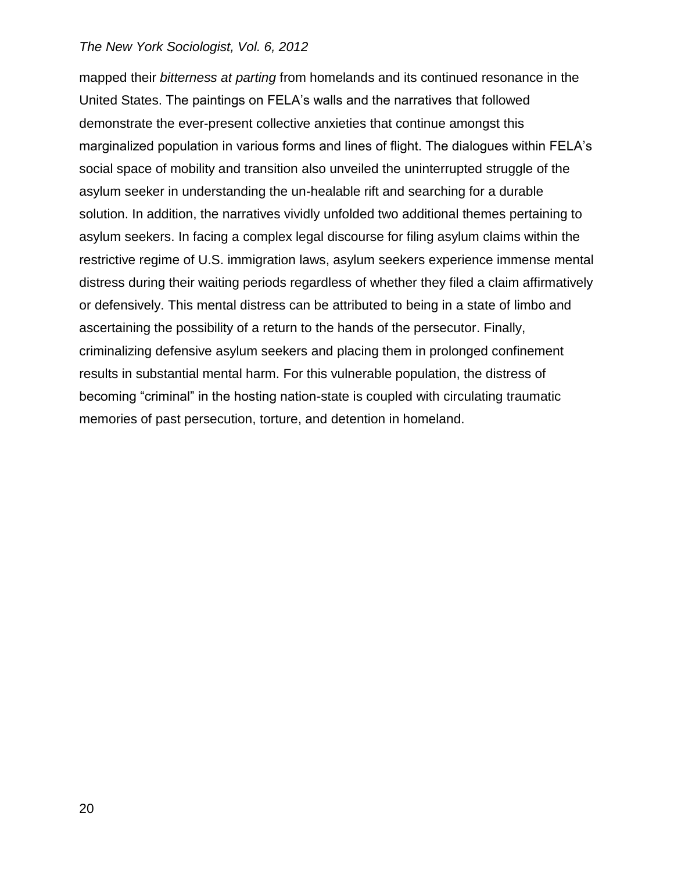mapped their *bitterness at parting* from homelands and its continued resonance in the United States. The paintings on FELA's walls and the narratives that followed demonstrate the ever-present collective anxieties that continue amongst this marginalized population in various forms and lines of flight. The dialogues within FELA's social space of mobility and transition also unveiled the uninterrupted struggle of the asylum seeker in understanding the un-healable rift and searching for a durable solution. In addition, the narratives vividly unfolded two additional themes pertaining to asylum seekers. In facing a complex legal discourse for filing asylum claims within the restrictive regime of U.S. immigration laws, asylum seekers experience immense mental distress during their waiting periods regardless of whether they filed a claim affirmatively or defensively. This mental distress can be attributed to being in a state of limbo and ascertaining the possibility of a return to the hands of the persecutor. Finally, criminalizing defensive asylum seekers and placing them in prolonged confinement results in substantial mental harm. For this vulnerable population, the distress of becoming "criminal" in the hosting nation-state is coupled with circulating traumatic memories of past persecution, torture, and detention in homeland.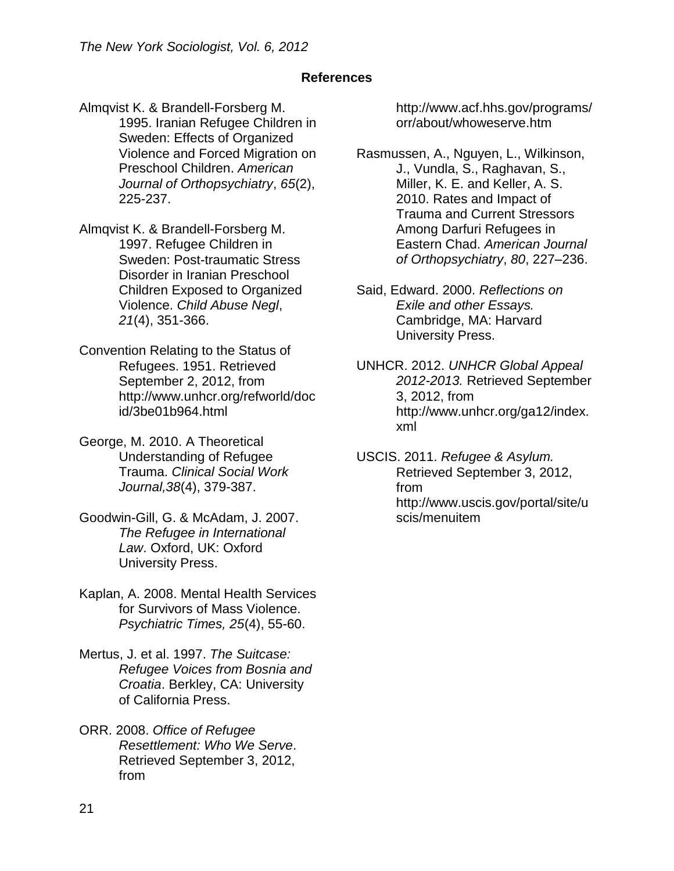# **References**

Almqvist K. & Brandell-Forsberg M. 1995. Iranian Refugee Children in Sweden: Effects of Organized Violence and Forced Migration on Preschool Children. *American Journal of Orthopsychiatry*, *65*(2), 225-237.

Almqvist K. & Brandell-Forsberg M. 1997. Refugee Children in Sweden: Post-traumatic Stress Disorder in Iranian Preschool Children Exposed to Organized Violence. *Child Abuse Negl*, *21*(4), 351-366.

- Convention Relating to the Status of Refugees. 1951. Retrieved September 2, 2012, from http://www.unhcr.org/refworld/doc id/3be01b964.html
- George, M. 2010. A Theoretical Understanding of Refugee Trauma. *Clinical Social Work Journal,38*(4), 379-387.
- Goodwin-Gill, G. & McAdam, J. 2007. *The Refugee in International Law*. Oxford, UK: Oxford University Press.
- Kaplan, A. 2008. Mental Health Services for Survivors of Mass Violence. *Psychiatric Times, 25*(4), 55-60.
- Mertus, J. et al. 1997. *The Suitcase: Refugee Voices from Bosnia and Croatia*. Berkley, CA: University of California Press.
- ORR. 2008. *Office of Refugee Resettlement: Who We Serve*. Retrieved September 3, 2012, from

http://www.acf.hhs.gov/programs/ orr/about/whoweserve.htm

Rasmussen, A., Nguyen, L., Wilkinson, J., Vundla, S., Raghavan, S., Miller, K. E. and Keller, A. S. 2010. Rates and Impact of Trauma and Current Stressors Among Darfuri Refugees in Eastern Chad. *American Journal of Orthopsychiatry*, *80*, 227–236.

Said, Edward. 2000. *Reflections on Exile and other Essays.* Cambridge, MA: Harvard University Press.

UNHCR. 2012. *UNHCR Global Appeal 2012-2013.* Retrieved September 3, 2012, from http://www.unhcr.org/ga12/index. xml

USCIS. 2011. *Refugee & Asylum.*  Retrieved September 3, 2012, from http://www.uscis.gov/portal/site/u scis/menuitem